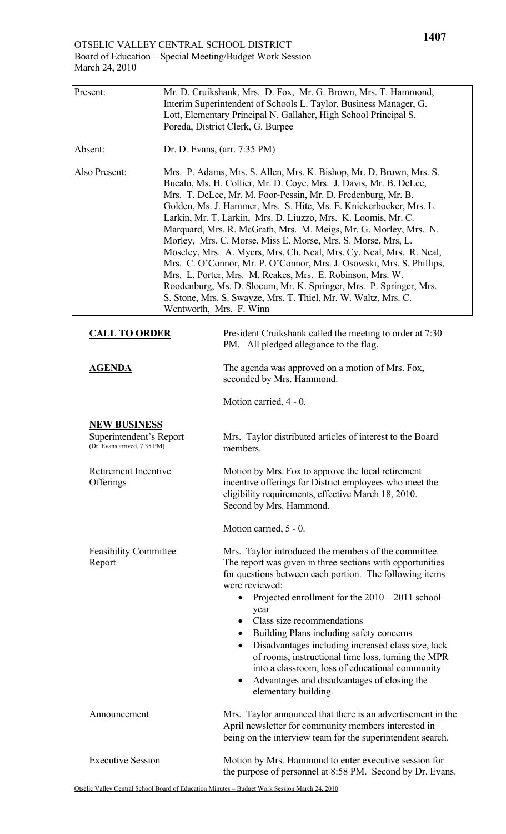| March $24, 2010$                                                               |  |                                                                                                                                                                                                                                                                                                                                                                                                                                                                                                                                                                                                                                                                                                                                                                                                                                                                     |  |
|--------------------------------------------------------------------------------|--|---------------------------------------------------------------------------------------------------------------------------------------------------------------------------------------------------------------------------------------------------------------------------------------------------------------------------------------------------------------------------------------------------------------------------------------------------------------------------------------------------------------------------------------------------------------------------------------------------------------------------------------------------------------------------------------------------------------------------------------------------------------------------------------------------------------------------------------------------------------------|--|
| Present:                                                                       |  | Mr. D. Cruikshank, Mrs. D. Fox, Mr. G. Brown, Mrs. T. Hammond,<br>Interim Superintendent of Schools L. Taylor, Business Manager, G.<br>Lott, Elementary Principal N. Gallaher, High School Principal S.<br>Poreda, District Clerk, G. Burpee                                                                                                                                                                                                                                                                                                                                                                                                                                                                                                                                                                                                                        |  |
| Absent:                                                                        |  | Dr. D. Evans, (arr. 7:35 PM)                                                                                                                                                                                                                                                                                                                                                                                                                                                                                                                                                                                                                                                                                                                                                                                                                                        |  |
| Also Present:                                                                  |  | Mrs. P. Adams, Mrs. S. Allen, Mrs. K. Bishop, Mr. D. Brown, Mrs. S.<br>Bucalo, Ms. H. Collier, Mr. D. Coye, Mrs. J. Davis, Mr. B. DeLee,<br>Mrs. T. DeLee, Mr. M. Foor-Pessin, Mr. D. Fredenburg, Mr. B.<br>Golden, Ms. J. Hammer, Mrs. S. Hite, Ms. E. Knickerbocker, Mrs. L.<br>Larkin, Mr. T. Larkin, Mrs. D. Liuzzo, Mrs. K. Loomis, Mr. C.<br>Marquard, Mrs. R. McGrath, Mrs. M. Meigs, Mr. G. Morley, Mrs. N.<br>Morley, Mrs. C. Morse, Miss E. Morse, Mrs. S. Morse, Mrs, L.<br>Moseley, Mrs. A. Myers, Mrs. Ch. Neal, Mrs. Cy. Neal, Mrs. R. Neal,<br>Mrs. C. O'Connor, Mr. P. O'Connor, Mrs. J. Osowski, Mrs. S. Phillips,<br>Mrs. L. Porter, Mrs. M. Reakes, Mrs. E. Robinson, Mrs. W.<br>Roodenburg, Ms. D. Slocum, Mr. K. Springer, Mrs. P. Springer, Mrs.<br>S. Stone, Mrs. S. Swayze, Mrs. T. Thiel, Mr. W. Waltz, Mrs. C.<br>Wentworth, Mrs. F. Winn |  |
| <b>CALL TO ORDER</b>                                                           |  | President Cruikshank called the meeting to order at 7:30<br>PM. All pledged allegiance to the flag.                                                                                                                                                                                                                                                                                                                                                                                                                                                                                                                                                                                                                                                                                                                                                                 |  |
| <b>AGENDA</b>                                                                  |  | The agenda was approved on a motion of Mrs. Fox,<br>seconded by Mrs. Hammond.                                                                                                                                                                                                                                                                                                                                                                                                                                                                                                                                                                                                                                                                                                                                                                                       |  |
|                                                                                |  | Motion carried, 4 - 0.                                                                                                                                                                                                                                                                                                                                                                                                                                                                                                                                                                                                                                                                                                                                                                                                                                              |  |
| <b>NEW BUSINESS</b><br>Superintendent's Report<br>(Dr. Evans arrived, 7:35 PM) |  | Mrs. Taylor distributed articles of interest to the Board<br>members.                                                                                                                                                                                                                                                                                                                                                                                                                                                                                                                                                                                                                                                                                                                                                                                               |  |
| Retirement Incentive<br>Offerings                                              |  | Motion by Mrs. Fox to approve the local retirement<br>incentive offerings for District employees who meet the<br>eligibility requirements, effective March 18, 2010.<br>Second by Mrs. Hammond.                                                                                                                                                                                                                                                                                                                                                                                                                                                                                                                                                                                                                                                                     |  |
|                                                                                |  | Motion carried, 5 - 0.                                                                                                                                                                                                                                                                                                                                                                                                                                                                                                                                                                                                                                                                                                                                                                                                                                              |  |
| <b>Feasibility Committee</b><br>Report                                         |  | Mrs. Taylor introduced the members of the committee.<br>The report was given in three sections with opportunities<br>for questions between each portion. The following items<br>were reviewed:<br>Projected enrollment for the $2010 - 2011$ school<br>$\bullet$<br>year<br>Class size recommendations<br>Building Plans including safety concerns                                                                                                                                                                                                                                                                                                                                                                                                                                                                                                                  |  |

- Disadvantages including increased class size, lack of rooms, instructional time loss, turning the MPR into a classroom, loss of educational community
- Advantages and disadvantages of closing the elementary building.

| Announcement             | Mrs. Taylor announced that there is an advertisement in the<br>April newsletter for community members interested in<br>being on the interview team for the superintendent search. |
|--------------------------|-----------------------------------------------------------------------------------------------------------------------------------------------------------------------------------|
| <b>Executive Session</b> | Motion by Mrs. Hammond to enter executive session for<br>the purpose of personnel at 8:58 PM. Second by Dr. Evans.                                                                |